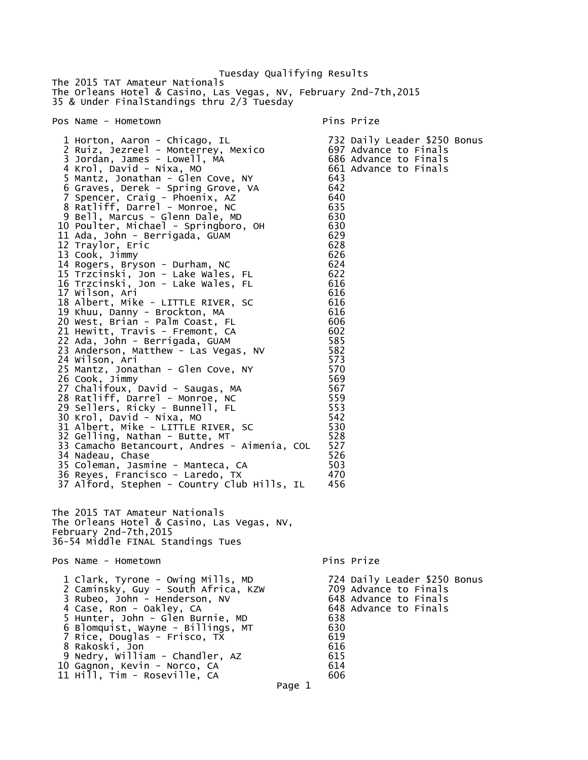Tuesday Qualifying Results The 2015 TAT Amateur Nationals The Orleans Hotel & Casino, Las Vegas, NV, February 2nd-7th,2015 35 & Under FinalStandings thru 2/3 Tuesday Pos Name - Hometown Pins Prize 1 Horton, Aaron - Chicago, IL 732 Daily Leader \$250 Bonus 2 Ruiz, Jezreel - Monterrey, Mexico 697 Advance to Finals 3 Jordan, James - Lowell, MA 686 Advance to Finals 4 Krol, David - Nixa, MO<br>
4 Krol, David - Nixa, MO<br>
5 Mantz, Jonathan - Glen Cove, NY 643 5 Mantz, Jonathan - Glen Cove, NY 643 6 Graves, Derek - Spring Grove, VA 642 7 Spencer, Craig - Phoenix, AZ 640 8 Ratliff, Darrel - Monroe, NC 635 9 Bell, Marcus - Glenn Dale, MD 630 10 Poulter, Michael - Springboro, OH 630 11 Ada, John - Berrigada, GŬAM 12 Traylor, Eric 628 13 Cook, Jimmy 626 14 Rogers, Bryson - Durham, NC 624 15 Trzcinski, Jon - Lake Wales, FL 622 16 Trzcinski, Jon - Lake Wales, FL 616 17 Wilson, Ari 616 18 Albert, Mike - LITTLE RIVER, SC 616 19 Khuu, Danny - Brockton, MA 616 20 West, Brian - Palm Coast, FL 606 21 Hewitt, Travis - Fremont, CA 602 22 Ada, John - Berrigada, GUAM 585 23 Anderson, Matthew - Las Vegas, NV 582<br>24 Wilson, Ari 1982 24 Wilson, Ari 573 25 Mantz, Jonathan - Glen Cove, NY 570 26 Cook, Jimmy 569 27 Chalifoux, David - Saugas, MA 567 28 Ratliff, Darrel - Monroe, NC 559 29 Sellers, Ricky - Bunnell, FL 553 30 Krol, David - Nixa, MO 542 31 Albert, Mike - LITTLE RIVER, SC 530 32 Gelling, Nathan - Butte, MT 528 33 Camacho Betancourt, Andres - Aimenia, COL 527 34 Nadeau, Chase 526 35 Coleman, Jasmine - Manteca, CA 600 503 36 Reyes, Francisco - Laredo, TX 470 37 Alford, Stephen - Country Club Hills, IL 456 The 2015 TAT Amateur Nationals The Orleans Hotel & Casino, Las Vegas, NV, February 2nd-7th,2015 36-54 Middle FINAL Standings Tues Pos Name - Hometown Pins Prize 1 Clark, Tyrone - Owing Mills, MD 724 Daily Leader \$250 Bonus 2 Caminsky, Guy - South Africa, KZW 3 Rubeo, John - Henderson, NV 648 Advance to Finals 4 Case, Ron - Oakley, CA 648 Advance to Finals 5 Hunter, John - Glen Burnie, MD 638 6 Blomquist, Wayne - Billings, MT 630 7 Rice, Douglas - Frisco, TX 619 8 Rakoski, Jon 616 9 Nedry, William - Chandler, AZ 615 10 Gagnon, Kevin - Norco, CA 614 11 Hill, Tim - Roseville, CA 606 Page 1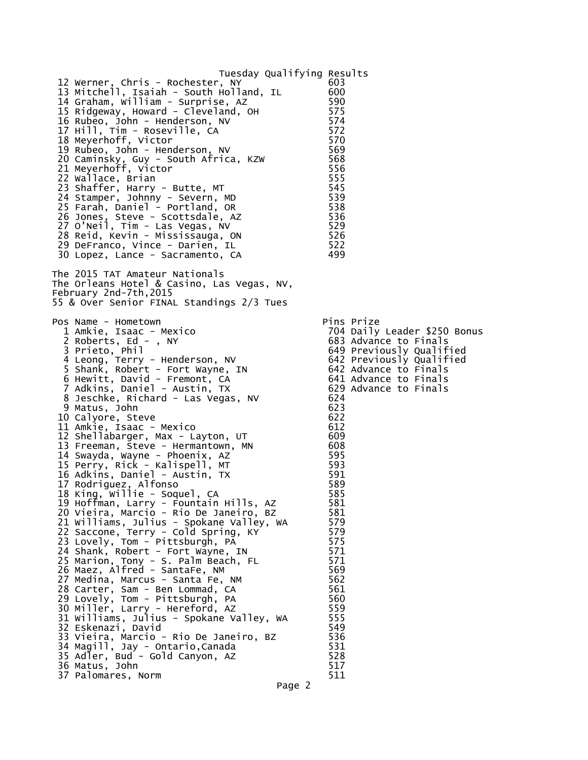Tuesday Qualifying Results 12 Werner, Chris - Rochester, NY 13 Mitchell, Isaiah - South Holland, IL 600 14 Graham, William - Surprise, AZ 590 15 Ridgeway, Howard - Cleveland, OH 575 16 Rubeo, John - Henderson, NV 574 17 Hill, Tim - Roseville, CA 572 18 Meyerhoff, Victor 570 19 Rubeo, John - Henderson, NV 569 20 Caminsky, Guy - South Africa, KZW 568 21 Meyerhoff, Victor 556 22 Wallace, Brian 555 South Communist State State State State State State State S 23 Shaffer, Harry - Butte, MT 545 24 Stamper, Johnny - Severn, MD 539 25 Farah, Daniel - Portland, OR 538 26 Jones, Steve - Scottsdale, AZ 536 27 O'Neil, Tim - Las Vegas, NV 529 28 Reid, Kevin - Mississauga, ON 526 29 DeFranco, Vince - Darien, IL 522 30 Lopez, Lance - Sacramento, CA 499 The 2015 TAT Amateur Nationals The Orleans Hotel & Casino, Las Vegas, NV, February 2nd-7th,2015 55 & Over Senior FINAL Standings 2/3 Tues Pos Name - Hometown Pins Prize 704 Daily Leader \$250 Bonus 2 Roberts, Ed - , NY 683 Advance to Finals<br>3 Prieto, Phil 649 Previously Qualif 049 Previously Qualified<br>642 Previously Qualified<br>642 Advance to Finals<br>641 Advance to Finals<br>629 Advance to Finals<br>624 4 Leong, Terry - Henderson, NV 642 Previously Qualified 5 Shank, Robert - Fort Wayne, IN 642 Advance to Finals 6 Hewitt, David - Fremont, CA 641 Advance to Finals 7 Adkins, Daniel - Austin, TX 629 Advance to Finals 8 Jeschke, Richard - Las Vegas, NV 624 9 Matus, John 623<br>- 19 Matus, 19 Matus, 19 Matus 622<br>- 19 Matus 622 10 Calyore, Steve 622 11 Amkie, Isaac - Mexico 612 12 Shellabarger, Max - Layton, UT 609 13 Freeman, Steve - Hermantown, MN 608 14 Swayda, Wayne - Phoenix, AZ 595 15 Perry, Rick - Kalispell, MT 593 16 Adkins, Daniel - Austin, TX 591 17 Rodriguez, Alfonso 589 18 King, Willie - Soquel, CA 585 19 Hoffman, Larry - Fountain Hills, AZ 581 20 Vieira, Marcio - Rio De Janeiro, BZ 581 21 Williams, Julius - Spokane Valley, WA 579<br>22 Saccone, Terry - Cold Spring, KY 579 22 Saccone, Terry - Cold Spring, KY 579 23 Lovely, Tom - Pittsburgh, PA 575 24 Shank, Robert - Fort Wayne, IN 571 25 Marion, Tony - S. Palm Beach, FL 571 26 Maez, Alfred - SantaFe, NM 569 27 Medina, Marcus - Santa Fe, NM 562 28 Carter, Sam - Ben Lommad, CA 661 561 29 Lovely, Tom - Pittsburgh, PA 560 30 Miller, Larry - Hereford, AZ 559 31 Williams, Julius - Spokane Valley, WA 555 32 Eskenazi, David 549 33 Vieira, Marcio - Rio De Janeiro, BZ 536 34 Magill, Jay - Ontario,Canada 531 35 Adler, Bud - Gold Canyon, AZ 528 36 Matus, John 517 37 Palomares, Norm 511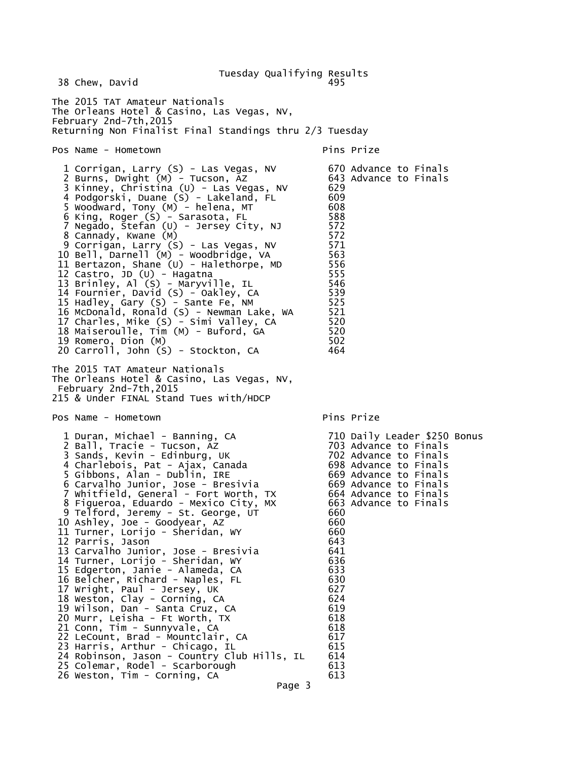Tuesday Qualifying Results 38 Chew, David The 2015 TAT Amateur Nationals The Orleans Hotel & Casino, Las Vegas, NV, February 2nd-7th,2015 Returning Non Finalist Final Standings thru 2/3 Tuesday Pos Name - Hometown Pins Prize 1 Corrigan, Larry (S) - Las Vegas, NV 670 Advance to Finals 2 Burns, Dwight (M) - Tucson, AZ 643 Advance to Finals 3 Kinney, Christina (U) - Las Vegas, NV 629 4 Podgorski, Duane (S) - Lakeland, FL 609 5 Woodward, Tony (M) - helena, MT 608 6 King, Roger (S) - Sarasota, FL 588 7 Negado, Stefan (U) - Jersey City, NJ 572 8 Cannady, Kwane (M) 572 9 Corrigan, Larry (S) - Las Vegas, NV 571 10 Bell, Darnell (M) - Woodbridge, VA 563 11 Bertazon, Shane (U) - Halethorpe, MD 556 12 Castro, JD (U) - Hagatna 555 13 Brinley, Al (S) - Maryville, IL 546 14 Fournier, David (S) - Oakley, CA 539 15 Hadley, Gary (S) - Sante Fe, NM 525 16 McDonald, Ronald (S) - Newman Lake, WA 521<br>17 Charles, Mike (S) - Simi Valley, CA 520 17 Charles, Mike (S) - Simi Valley, CA 520 18 Maiseroulle, Tim (M) - Buford, GA 520 19 Romero, Dion (M) 502 20 Carroll, John  $(S)$  - Stockton, CA The 2015 TAT Amateur Nationals The Orleans Hotel & Casino, Las Vegas, NV, February 2nd-7th,2015 215 & Under FINAL Stand Tues with/HDCP Pos Name - Hometown Pins Prize 1 Duran, Michael - Banning, CA 710 Daily Leader \$250 Bonus 2 Ball, Tracie - Tucson, AZ 703 Advance to Finals 3 Sands, Kevin - Edinburg, UK 702 Advance to Finals 4 Charlebois, Pat - Ajax, Canada 698 Advance to Finals 5 Gibbons, Alan - Dublin, IRE 669 Advance to Finals 6 Carvalho Junior, Jose - Bresivia 669 Advance to Finals  $7$  Whitfield, General - Fort Worth, TX 8 Figueroa, Eduardo - Mexico City, MX 663 Advance to Finals 9 Telford, Jeremy - St. George, UT 660 10 Ashley, Joe - Goodyear, AZ 660 11 Turner, Lorijo - Sheridan, WY 660 12 Parris, Jason 643 13 Carvalho Junior, Jose - Bresivia 641 14 Turner, Lorijo - Sheridan, WY 636 15 Edgerton, Janie - Alameda, CA 633 16 Belcher, Richard - Naples, FL 630 17 Wright, Paul - Jersey, UK 627 18 Weston, Clay - Corning, CA 624 19 Wilson, Dan - Santa Cruz, CA 619 20 Murr, Leisha - Ft Worth, TX 618 21 Conn, Tim - Sunnyvale, CA 618 22 LeCount, Brad - Mountclair, CA 617 23 Harris, Arthur - Chicago, IL 615 24 Robinson, Jason - Country Club Hills, IL 614 25 Colemar, Rodel - Scarborough 613 26 Weston, Tim - Corning, CA 613 Page 3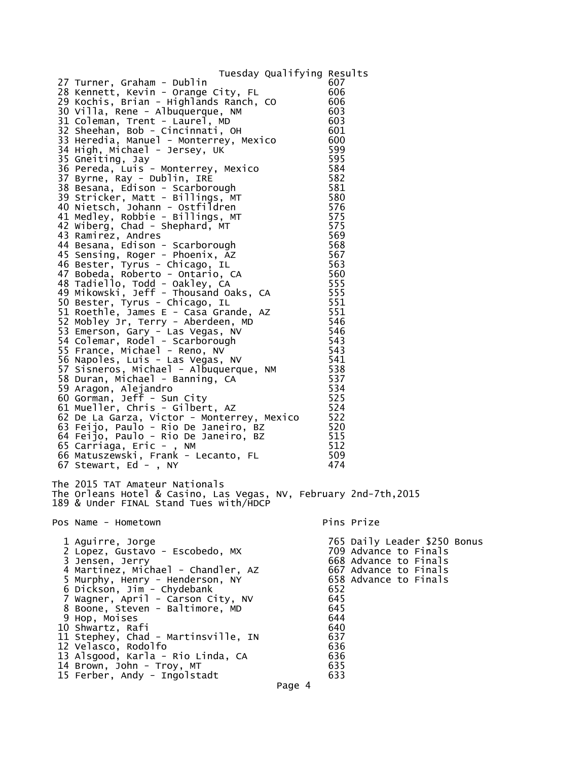Tuesday Qualifying Results 27 Turner, Graham - Dublin 607 28 Kennett, Kevin - Orange City, FL 606 29 Kochis, Brian - Highlands Ranch, CO 606 30 Villa, Rene - Albuquerque, NM 603 31 Coleman, Trent - Laurel, MD 603 32 Sheehan, Bob - Cincinnati, OH 601 33 Heredia, Manuel - Monterrey, Mexico 600 34 High, Michael - Jersey, UK 599 35 Gneiting, Jay 595 36 Pereda, Luis - Monterrey, Mexico 584 37 Byrne, Ray - Dublin, IRE 582 38 Besana, Edison - Scarborough 581 39 Stricker, Matt - Billings, MT 580 40 Nietsch, Johann - Ostfildren 576 41 Medley, Robbie - Billings, MT 575 42 Wiberg, Chad - Shephard, MT 575 43 Ramirez, Andres 569 44 Besana, Edison - Scarborough 568 45 Sensing, Roger - Phoenix, AZ 567 46 Bester, Tyrus - Chicago, IL 563 47 Bobeda, Roberto - Ontario, CA 560 48 Tadiello, Todd - Oakley, CA 555 49 Mikowski, Jeff - Thousand Oaks, CA 555 50 Bester, Tyrus - Chicago, IL 551 51 Roethle, James E - Casa Grande, AZ 551 52 Mobley Jr, Terry - Aberdeen, MD 546 53 Emerson, Gary - Las Vegas, NV 546 54 Colemar, Rodel - Scarborough 543 55 France, Michael - Reno, NV 6543 56 Napoles, Luis - Las Vegas, NV 541 57 Sisneros, Michael - Albuquerque, NM 538 58 Duran, Michael - Banning, CA 537 59 Aragon, Alejandro 534 60 Gorman, Jeff - Sun City 60 Sorman, 525 61 Mueller, Chris - Gilbert, AZ 524 62 De La Garza, Victor - Monterrey, Mexico 522 63 Feijo, Paulo - Rio De Janeiro, BZ 520 64 Feijo, Paulo - Rio De Janeiro, BZ 515 65 Carriaga, Eric - , NM 512 66 Matuszewski, Frank - Lecanto, FL 509 67 Stewart, Ed - , NY 474 The 2015 TAT Amateur Nationals The Orleans Hotel & Casino, Las Vegas, NV, February 2nd-7th,2015 189 & Under FINAL Stand Tues with/HDCP Pos Name - Hometown expansion of the Pins Prize 1 Aguirre, Jorge<br>2 Lopez, Gustavo - Escobedo, MX 709 Advance to Finals 2 Lopez, Gustavo - Escobedo, MX<br>3 Jensen, Jerry 668 Advance to Finals<br>667 Advance to Finals<br>658 Advance to Finals 4 Martinez, Michael - Chandler, AZ 5 Murphy, Henry - Henderson, NY 658 Advance to Finals 6 Dickson, Jim - Chydebank 652 7 Wagner, April - Carson City, NV 645 8 Boone, Steven - Baltimore, MD 645 9 Hop, Moises 644 10 Shwartz, Rafi 640 11 Stephey, Chad - Martinsville, IN 637 12 Velasco, Rodolfo 636 13 Alsgood, Karla - Rio Linda, CA 636 14 Brown, John - Troy, MT 635 15 Ferber, Andy - Ingolstadt